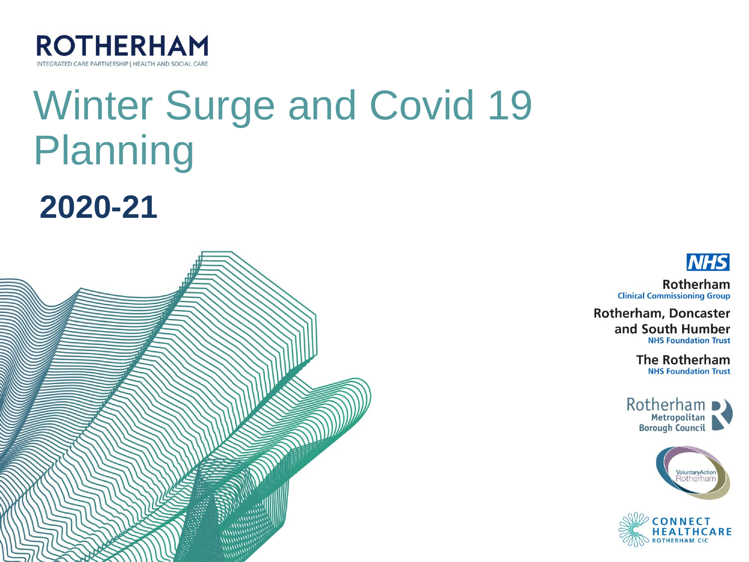

# **Winter Surge and Covid 19 Planning**





**NHS** Rotherham

**Clinical Commissioning Group** 

**Rotherham, Doncaster** and South Humber **NHS Foundation Trust** 

> **The Rotherham NHS Foundation Trust**

Rotherham



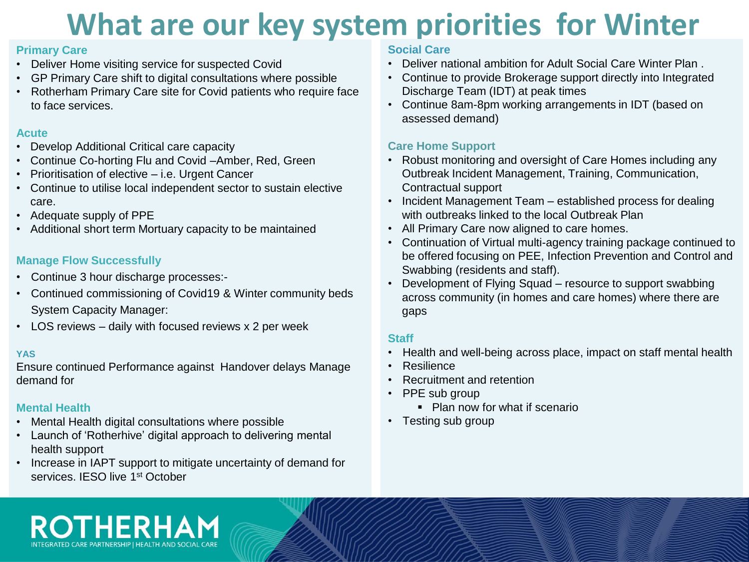# **What are our key system priorities for Winter**

#### **Primary Care**

- Deliver Home visiting service for suspected Covid
- GP Primary Care shift to digital consultations where possible
- Rotherham Primary Care site for Covid patients who require face to face services.

#### **Acute**

- Develop Additional Critical care capacity
- Continue Co-horting Flu and Covid –Amber, Red, Green
- Prioritisation of elective i.e. Urgent Cancer
- Continue to utilise local independent sector to sustain elective care.
- Adequate supply of PPE
- Additional short term Mortuary capacity to be maintained

### **Manage Flow Successfully**

**ROTHERH** 

- Continue 3 hour discharge processes:-
- Continued commissioning of Covid19 & Winter community beds System Capacity Manager:
- LOS reviews daily with focused reviews x 2 per week

#### **YAS**

Ensure continued Performance against Handover delays Manage demand for

## **Mental Health**

- Mental Health digital consultations where possible
- Launch of 'Rotherhive' digital approach to delivering mental health support
- Increase in IAPT support to mitigate uncertainty of demand for services. **IESO** live 1<sup>st</sup> October

#### **Social Care**

- Deliver national ambition for Adult Social Care Winter Plan .
- Continue to provide Brokerage support directly into Integrated Discharge Team (IDT) at peak times
- Continue 8am-8pm working arrangements in IDT (based on assessed demand)

### **Care Home Support**

- Robust monitoring and oversight of Care Homes including any Outbreak Incident Management, Training, Communication, Contractual support
- Incident Management Team established process for dealing with outbreaks linked to the local Outbreak Plan
- All Primary Care now aligned to care homes.
- Continuation of Virtual multi-agency training package continued to be offered focusing on PEE, Infection Prevention and Control and Swabbing (residents and staff).
- Development of Flying Squad resource to support swabbing across community (in homes and care homes) where there are gaps

### **Staff**

- Health and well-being across place, impact on staff mental health
- Resilience
- Recruitment and retention
- PPE sub group
	- Plan now for what if scenario
- Testing sub group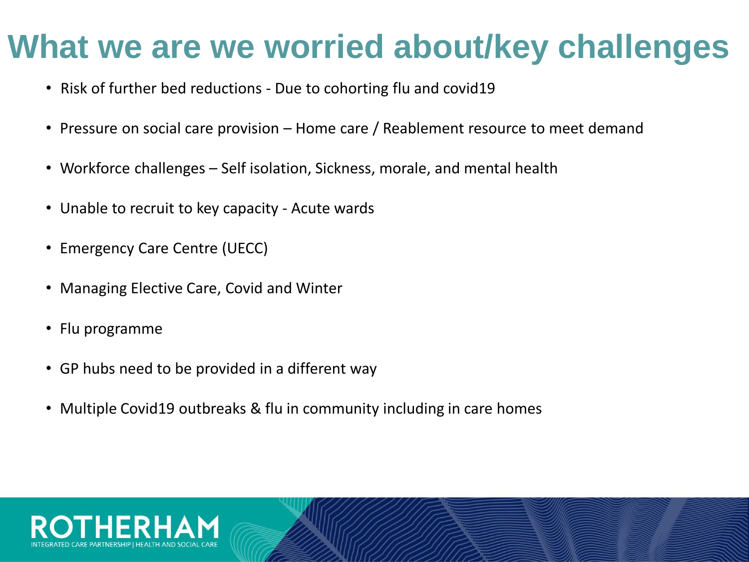# **What we are we worried about/key challenges**

- Risk of further bed reductions Due to cohorting flu and covid19
- Pressure on social care provision Home care / Reablement resource to meet demand
- Workforce challenges Self isolation, Sickness, morale, and mental health
- Unable to recruit to key capacity Acute wards
- Emergency Care Centre (UECC)
- Managing Elective Care, Covid and Winter
- Flu programme
- GP hubs need to be provided in a different way
- Multiple Covid19 outbreaks & flu in community including in care homes